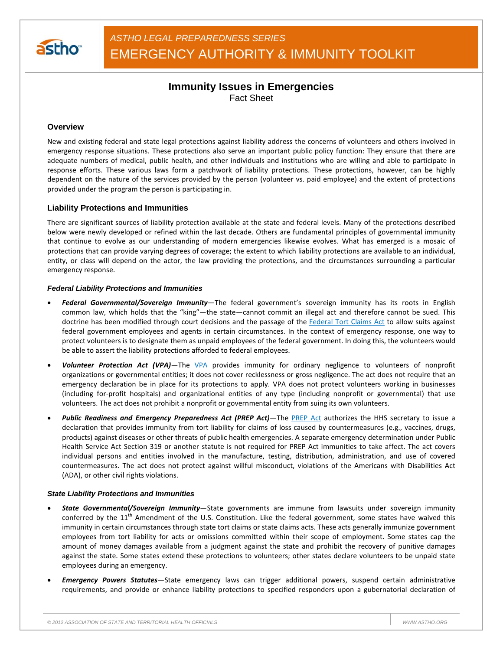

# **Immunity Issues in Emergencies** Fact Sheet

## **Overview**

New and existing federal and state legal protections against liability address the concerns of volunteers and others involved in emergency response situations. These protections also serve an important public policy function: They ensure that there are adequate numbers of medical, public health, and other individuals and institutions who are willing and able to participate in response efforts. These various laws form a patchwork of liability protections. These protections, however, can be highly dependent on the nature of the services provided by the person (volunteer vs. paid employee) and the extent of protections provided under the program the person is participating in.

## **Liability Protections and Immunities**

There are significant sources of liability protection available at the state and federal levels. Many of the protections described below were newly developed or refined within the last decade. Others are fundamental principles of governmental immunity that continue to evolve as our understanding of modern emergencies likewise evolves. What has emerged is a mosaic of protections that can provide varying degrees of coverage; the extent to which liability protections are available to an individual, entity, or class will depend on the actor, the law providing the protections, and the circumstances surrounding a particular emergency response.

### *Federal Liability Protections and Immunities*

- *Federal Governmental/Sovereign Immunity*—The federal government's sovereign immunity has its roots in English common law, which holds that the "king"—the state—cannot commit an illegal act and therefore cannot be sued. This doctrine has been modified through court decisions and the passage of the Federal Tort Claims Act to allow suits against federal government employees and agents in certain circumstances. In the context of emergency response, one way to protect volunteers is to designate them as unpaid employees of the federal government. In doing this, the volunteers would be able to assert the liability protections afforded to federal employees.
- *Volunteer Protection Act (VPA)—*The VPA provides immunity for ordinary negligence to volunteers of nonprofit organizations or governmental entities; it does not cover recklessness or gross negligence. The act does not require that an emergency declaration be in place for its protections to apply. VPA does not protect volunteers working in businesses (including for-profit hospitals) and organizational entities of any type (including nonprofit or governmental) that use volunteers. The act does not prohibit a nonprofit or governmental entity from suing its own volunteers.
- *Public Readiness and Emergency Preparedness Act (PREP Act)*—The PREP Act authorizes the HHS secretary to issue a declaration that provides immunity from tort liability for claims of loss caused by countermeasures (e.g., vaccines, drugs, products) against diseases or other threats of public health emergencies. A separate emergency determination under Public Health Service Act Section 319 or another statute is not required for PREP Act immunities to take affect. The act covers individual persons and entities involved in the manufacture, testing, distribution, administration, and use of covered countermeasures. The act does not protect against willful misconduct, violations of the Americans with Disabilities Act (ADA), or other civil rights violations.

#### *State Liability Protections and Immunities*

- *State Governmental/Sovereign Immunity*—State governments are immune from lawsuits under sovereign immunity conferred by the  $11<sup>th</sup>$  Amendment of the U.S. Constitution. Like the federal government, some states have waived this immunity in certain circumstances through state tort claims or state claims acts. These acts generally immunize government employees from tort liability for acts or omissions committed within their scope of employment. Some states cap the amount of money damages available from a judgment against the state and prohibit the recovery of punitive damages against the state. Some states extend these protections to volunteers; other states declare volunteers to be unpaid state employees during an emergency.
- *Emergency Powers Statutes*—State emergency laws can trigger additional powers, suspend certain administrative requirements, and provide or enhance liability protections to specified responders upon a gubernatorial declaration of